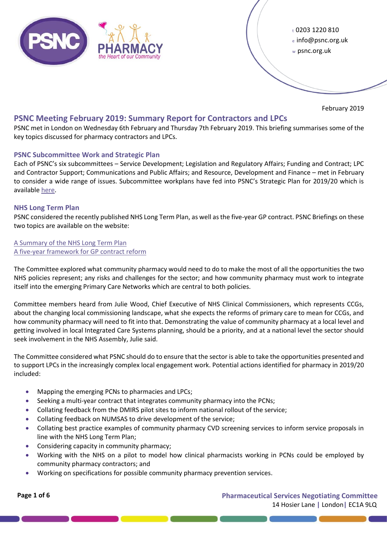

<sup>t</sup>0203 1220 810 <sup>e</sup>info@psnc.org.uk <sup>w</sup>psnc.org.uk

February 2019

# **PSNC Meeting February 2019: Summary Report for Contractors and LPCs**

PSNC met in London on Wednesday 6th February and Thursday 7th February 2019. This briefing summarises some of the key topics discussed for pharmacy contractors and LPCs.

# **PSNC Subcommittee Work and Strategic Plan**

Each of PSNC's six subcommittees – Service Development; Legislation and Regulatory Affairs; Funding and Contract; LPC and Contractor Support; Communications and Public Affairs; and Resource, Development and Finance – met in February to consider a wide range of issues. Subcommittee workplans have fed into PSNC's Strategic Plan for 2019/20 which is availabl[e here.](https://psnc.org.uk/wp-content/uploads/2019/02/PSNC-2019-20-Plan.pdf)

# **NHS Long Term Plan**

PSNC considered the recently published NHS Long Term Plan, as well as the five-year GP contract. PSNC Briefings on these two topics are available on the website:

# [A Summary of the NHS Long Term Plan](https://psnc.org.uk/the-healthcare-landscape/psnc-briefings-the-healthcare-landscape/psnc-briefing-002-19-a-summary-of-the-nhs-long-term-plan-january-2019/) [A five-year framework for GP contract reform](https://psnc.org.uk/the-healthcare-landscape/psnc-briefings-the-healthcare-landscape/psnc-briefing-008-19-a-five-year-framework-for-gp-contract-reform-to-implement-the-nhs-long-term-plan-february-2019/)

The Committee explored what community pharmacy would need to do to make the most of all the opportunities the two NHS policies represent; any risks and challenges for the sector; and how community pharmacy must work to integrate itself into the emerging Primary Care Networks which are central to both policies.

Committee members heard from Julie Wood, Chief Executive of NHS Clinical Commissioners, which represents CCGs, about the changing local commissioning landscape, what she expects the reforms of primary care to mean for CCGs, and how community pharmacy will need to fit into that. Demonstrating the value of community pharmacy at a local level and getting involved in local Integrated Care Systems planning, should be a priority, and at a national level the sector should seek involvement in the NHS Assembly, Julie said.

The Committee considered what PSNC should do to ensure that the sector is able to take the opportunities presented and to support LPCs in the increasingly complex local engagement work. Potential actions identified for pharmacy in 2019/20 included:

- Mapping the emerging PCNs to pharmacies and LPCs;
- Seeking a multi-year contract that integrates community pharmacy into the PCNs;
- Collating feedback from the DMIRS pilot sites to inform national rollout of the service;
- Collating feedback on NUMSAS to drive development of the service;
- Collating best practice examples of community pharmacy CVD screening services to inform service proposals in line with the NHS Long Term Plan;
- Considering capacity in community pharmacy;
- Working with the NHS on a pilot to model how clinical pharmacists working in PCNs could be employed by community pharmacy contractors; and
- Working on specifications for possible community pharmacy prevention services.

**Page 1 of 6 Pharmaceutical Services Negotiating Committee** 14 Hosier Lane **|** London**|** EC1A 9LQ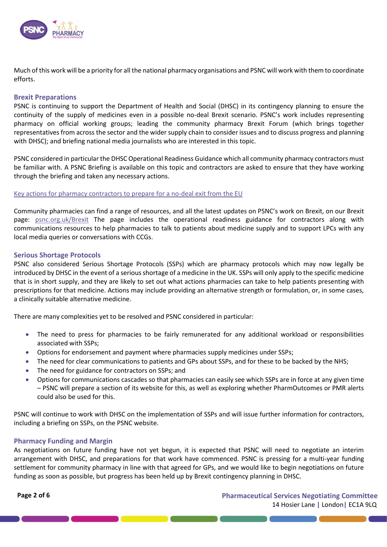

Much of this work will be a priority for all the national pharmacy organisations and PSNC will work with them to coordinate efforts.

#### **Brexit Preparations**

PSNC is continuing to support the Department of Health and Social (DHSC) in its contingency planning to ensure the continuity of the supply of medicines even in a possible no-deal Brexit scenario. PSNC's work includes representing pharmacy on official working groups; leading the community pharmacy Brexit Forum (which brings together representatives from across the sector and the wider supply chain to consider issues and to discuss progress and planning with DHSC); and briefing national media journalists who are interested in this topic.

PSNC considered in particular the DHSC Operational Readiness Guidance which all community pharmacy contractors must be familiar with. A PSNC Briefing is available on this topic and contractors are asked to ensure that they have working through the briefing and taken any necessary actions.

#### [Key actions for pharmacy contractors to prepare for a no-deal exit from the EU](https://psnc.org.uk/contract-it/psnc-briefings-pharmacy-contract-and-it/psnc-briefing-005-19-key-actions-for-pharmacy-contractors-to-prepare-for-a-no-deal-exit-from-the-eu/)

Community pharmacies can find a range of resources, and all the latest updates on PSNC's work on Brexit, on our Brexit page: [psnc.org.uk/Brexit](http://psnc.org.uk/brexit) The page includes the operational readiness guidance for contractors along with communications resources to help pharmacies to talk to patients about medicine supply and to support LPCs with any local media queries or conversations with CCGs.

#### **Serious Shortage Protocols**

PSNC also considered Serious Shortage Protocols (SSPs) which are pharmacy protocols which may now legally be introduced by DHSC in the event of a serious shortage of a medicine in the UK. SSPs will only apply to the specific medicine that is in short supply, and they are likely to set out what actions pharmacies can take to help patients presenting with prescriptions for that medicine. Actions may include providing an alternative strength or formulation, or, in some cases, a clinically suitable alternative medicine.

There are many complexities yet to be resolved and PSNC considered in particular:

- The need to press for pharmacies to be fairly remunerated for any additional workload or responsibilities associated with SSPs;
- Options for endorsement and payment where pharmacies supply medicines under SSPs;
- The need for clear communications to patients and GPs about SSPs, and for these to be backed by the NHS;
- The need for guidance for contractors on SSPs; and
- Options for communications cascades so that pharmacies can easily see which SSPs are in force at any given time – PSNC will prepare a section of its website for this, as well as exploring whether PharmOutcomes or PMR alerts could also be used for this.

PSNC will continue to work with DHSC on the implementation of SSPs and will issue further information for contractors, including a briefing on SSPs, on the PSNC website.

### **Pharmacy Funding and Margin**

As negotiations on future funding have not yet begun, it is expected that PSNC will need to negotiate an interim arrangement with DHSC, and preparations for that work have commenced. PSNC is pressing for a multi-year funding settlement for community pharmacy in line with that agreed for GPs, and we would like to begin negotiations on future funding as soon as possible, but progress has been held up by Brexit contingency planning in DHSC.

<u> 1980 - Johann Stein, marwolaethau a bhann an Amhair Aonaichte an Aonaichte an Aonaichte an Aonaichte an Aonaich</u>

**Page 2 of 6 Pharmaceutical Services Negotiating Committee** 14 Hosier Lane **|** London**|** EC1A 9LQ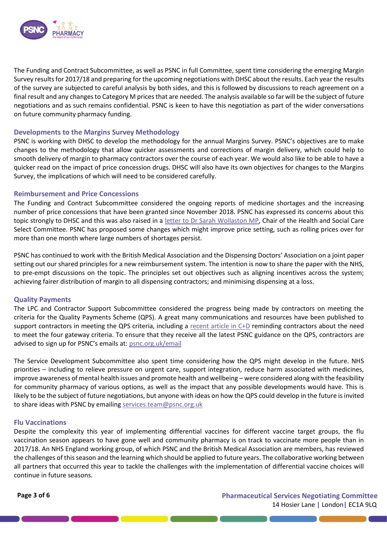

The Funding and Contract Subcommittee, as well as PSNC in full Committee, spent time considering the emerging Margin Survey results for 2017/18 and preparing for the upcoming negotiations with DHSC about the results. Each year the results of the survey are subjected to careful analysis by both sides, and this is followed by discussions to reach agreement on a final result and any changes to Category M prices that are needed. The analysis available so far will be the subject of future negotiations and as such remains confidential. PSNC is keen to have this negotiation as part of the wider conversations on future community pharmacy funding.

## **Developments to the Margins Survey Methodology**

PSNC is working with DHSC to develop the methodology for the annual Margins Survey. PSNC's objectives are to make changes to the methodology that allow quicker assessments and corrections of margin delivery, which could help to smooth delivery of margin to pharmacy contractors over the course of each year. We would also like to be able to have a quicker read on the impact of price concession drugs. DHSC will also have its own objectives for changes to the Margins Survey, the implications of which will need to be considered carefully.

# **Reimbursement and Price Concessions**

The Funding and Contract Subcommittee considered the ongoing reports of medicine shortages and the increasing number of price concessions that have been granted since November 2018. PSNC has expressed its concerns about this topic strongly to DHSC and this was also raised in a [letter to Dr Sarah Wollaston MP,](https://www.parliament.uk/documents/commons-committees/Health/Correspondence/2017-19/Correspondence-from-PSNC-regarding-Pharmacies-and-Brexit-07-12-18.pdf) Chair of the Health and Social Care Select Committee. PSNC has proposed some changes which might improve price setting, such as rolling prices over for more than one month where large numbers of shortages persist.

PSNC has continued to work with the British Medical Association and the Dispensing Doctors' Association on a joint paper setting out our shared principles for a new reimbursement system. The intention is now to share the paper with the NHS, to pre-empt discussions on the topic. The principles set out objectives such as aligning incentives across the system; achieving fairer distribution of margin to all dispensing contractors; and minimising dispensing at a loss.

### **Quality Payments**

The LPC and Contractor Support Subcommittee considered the progress being made by contractors on meeting the criteria for the Quality Payments Scheme (QPS). A great many communications and resources have been published to support contractors in meeting the QPS criteria, including a [recent article in C+D](https://www.chemistanddruggist.co.uk/feature/guide-to-quality-payments-criteria) reminding contractors about the need to meet the four gateway criteria. To ensure that they receive all the latest PSNC guidance on the QPS, contractors are advised to sign up for PSNC's emails at: [psnc.org.uk/email](https://psnc.org.uk/email)

The Service Development Subcommittee also spent time considering how the QPS might develop in the future. NHS priorities – including to relieve pressure on urgent care, support integration, reduce harm associated with medicines, improve awareness of mental health issues and promote health and wellbeing – were considered along with the feasibility for community pharmacy of various options, as well as the impact that any possible developments would have. This is likely to be the subject of future negotiations, but anyone with ideas on how the QPS could develop in the future is invited to share ideas with PSNC by emailin[g services.team@psnc.org.uk](mailto:services.team@psnc.org.uk)

### **Flu Vaccinations**

Despite the complexity this year of implementing differential vaccines for different vaccine target groups, the flu vaccination season appears to have gone well and community pharmacy is on track to vaccinate more people than in 2017/18. An NHS England working group, of which PSNC and the British Medical Association are members, has reviewed the challenges of this season and the learning which should be applied to future years. The collaborative working between all partners that occurred this year to tackle the challenges with the implementation of differential vaccine choices will continue in future seasons.

<u> De Carlos de Carlos de Carlos de Carlos de Carlos de Carlos de Carlos de Carlos de Carlos de Carlos de Carlos d</u>

**Page 3 of 6 Pharmaceutical Services Negotiating Committee** 14 Hosier Lane **|** London**|** EC1A 9LQ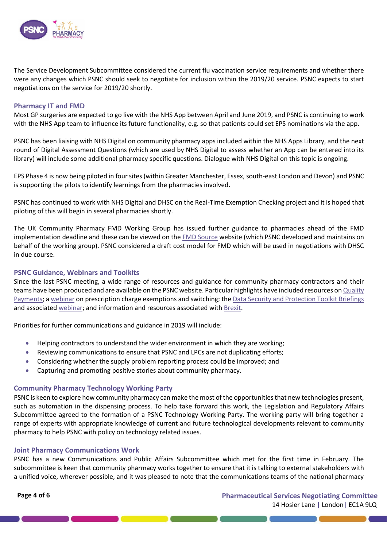

The Service Development Subcommittee considered the current flu vaccination service requirements and whether there were any changes which PSNC should seek to negotiate for inclusion within the 2019/20 service. PSNC expects to start negotiations on the service for 2019/20 shortly.

#### **Pharmacy IT and FMD**

Most GP surgeries are expected to go live with the NHS App between April and June 2019, and PSNC is continuing to work with the NHS App team to influence its future functionality, e.g. so that patients could set EPS nominations via the app.

PSNC has been liaising with NHS Digital on community pharmacy apps included within the NHS Apps Library, and the next round of Digital Assessment Questions (which are used by NHS Digital to assess whether an App can be entered into its library) will include some additional pharmacy specific questions. Dialogue with NHS Digital on this topic is ongoing.

EPS Phase 4 is now being piloted in four sites (within Greater Manchester, Essex, south-east London and Devon) and PSNC is supporting the pilots to identify learnings from the pharmacies involved.

PSNC has continued to work with NHS Digital and DHSC on the Real-Time Exemption Checking project and it is hoped that piloting of this will begin in several pharmacies shortly.

The UK Community Pharmacy FMD Working Group has issued further guidance to pharmacies ahead of the FMD implementation deadline and these can be viewed on th[e FMD Source](https://fmdsource.co.uk/) website (which PSNC developed and maintains on behalf of the working group). PSNC considered a draft cost model for FMD which will be used in negotiations with DHSC in due course.

#### **PSNC Guidance, Webinars and Toolkits**

Since the last PSNC meeting, a wide range of resources and guidance for community pharmacy contractors and their teams have been produced and are available on the PSNC website. Particular highlights have included resources on Quality [Payments;](https://psnc.org.uk/services-commissioning/essential-services/quality-payments/) a [webinar](https://psnc.org.uk/psncs-work/our-events/register-your-interest-in-our-webinar/prescription-charge-exemptions-and-switching-webinar/) on prescription charge exemptions and switching; the [Data Security and Protection Toolkit Briefings](https://psnc.org.uk/our-news/completing-the-data-and-security-ig-protection-toolkit/) and associated [webinar;](https://psnc.org.uk/psncs-work/our-events/register-your-interest-in-our-webinar/data-security-and-protection-ig-toolkit-workshop/) and information and resources associated wit[h Brexit.](http://www.psnc.org.uk/Brexit)

Priorities for further communications and guidance in 2019 will include:

- Helping contractors to understand the wider environment in which they are working;
- Reviewing communications to ensure that PSNC and LPCs are not duplicating efforts;
- Considering whether the supply problem reporting process could be improved; and
- Capturing and promoting positive stories about community pharmacy.

#### **Community Pharmacy Technology Working Party**

PSNC is keen to explore how community pharmacy can make the most of the opportunities that new technologies present, such as automation in the dispensing process. To help take forward this work, the Legislation and Regulatory Affairs Subcommittee agreed to the formation of a PSNC Technology Working Party. The working party will bring together a range of experts with appropriate knowledge of current and future technological developments relevant to community pharmacy to help PSNC with policy on technology related issues.

#### **Joint Pharmacy Communications Work**

PSNC has a new Communications and Public Affairs Subcommittee which met for the first time in February. The subcommittee is keen that community pharmacy works together to ensure that it is talking to external stakeholders with a unified voice, wherever possible, and it was pleased to note that the communications teams of the national pharmacy

<u> a seu de la companya de la companya de la companya de la companya de la companya de la companya de la companya </u>

**Page 4 of 6 Pharmaceutical Services Negotiating Committee** 14 Hosier Lane **|** London**|** EC1A 9LQ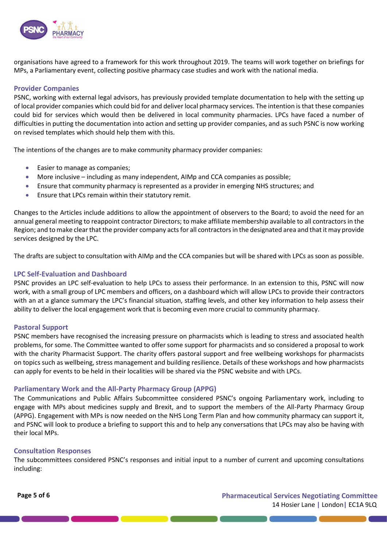

organisations have agreed to a framework for this work throughout 2019. The teams will work together on briefings for MPs, a Parliamentary event, collecting positive pharmacy case studies and work with the national media.

# **Provider Companies**

PSNC, working with external legal advisors, has previously provided template documentation to help with the setting up of local provider companies which could bid for and deliver local pharmacy services. The intention is that these companies could bid for services which would then be delivered in local community pharmacies. LPCs have faced a number of difficulties in putting the documentation into action and setting up provider companies, and as such PSNC is now working on revised templates which should help them with this.

The intentions of the changes are to make community pharmacy provider companies:

- Easier to manage as companies;
- More inclusive including as many independent, AIMp and CCA companies as possible;
- Ensure that community pharmacy is represented as a provider in emerging NHS structures; and
- Ensure that LPCs remain within their statutory remit.

Changes to the Articles include additions to allow the appointment of observers to the Board; to avoid the need for an annual general meeting to reappoint contractor Directors; to make affiliate membership available to all contractors in the Region; and to make clear that the provider company acts for all contractors in the designated area and that it may provide services designed by the LPC.

The drafts are subject to consultation with AIMp and the CCA companies but will be shared with LPCs as soon as possible.

## **LPC Self-Evaluation and Dashboard**

PSNC provides an LPC self-evaluation to help LPCs to assess their performance. In an extension to this, PSNC will now work, with a small group of LPC members and officers, on a dashboard which will allow LPCs to provide their contractors with an at a glance summary the LPC's financial situation, staffing levels, and other key information to help assess their ability to deliver the local engagement work that is becoming even more crucial to community pharmacy.

### **Pastoral Support**

PSNC members have recognised the increasing pressure on pharmacists which is leading to stress and associated health problems, for some. The Committee wanted to offer some support for pharmacists and so considered a proposal to work with the charity Pharmacist Support. The charity offers pastoral support and free wellbeing workshops for pharmacists on topics such as wellbeing, stress management and building resilience. Details of these workshops and how pharmacists can apply for events to be held in their localities will be shared via the PSNC website and with LPCs.

### **Parliamentary Work and the All-Party Pharmacy Group (APPG)**

The Communications and Public Affairs Subcommittee considered PSNC's ongoing Parliamentary work, including to engage with MPs about medicines supply and Brexit, and to support the members of the All-Party Pharmacy Group (APPG). Engagement with MPs is now needed on the NHS Long Term Plan and how community pharmacy can support it, and PSNC will look to produce a briefing to support this and to help any conversations that LPCs may also be having with their local MPs.

### **Consultation Responses**

The subcommittees considered PSNC's responses and initial input to a number of current and upcoming consultations including:

**Page 5 of 6 Pharmaceutical Services Negotiating Committee** 14 Hosier Lane **|** London**|** EC1A 9LQ